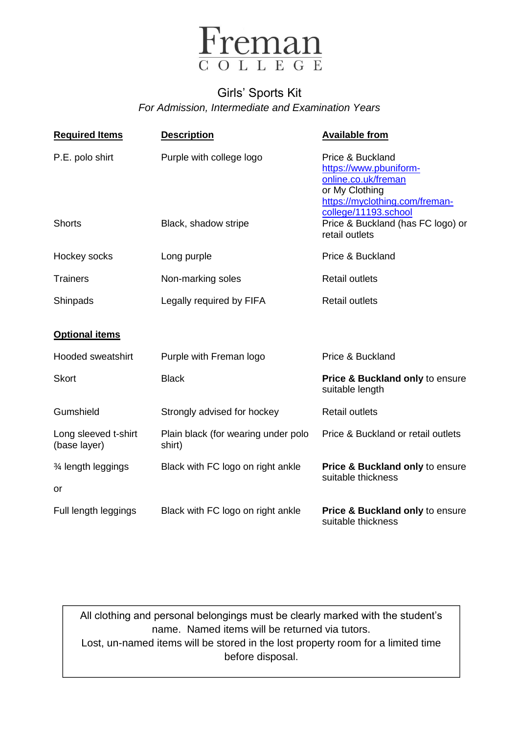

## Girls' Sports Kit *For Admission, Intermediate and Examination Years*

| <b>Required Items</b>                | <b>Description</b>                            | <b>Available from</b>                                                                                                                         |
|--------------------------------------|-----------------------------------------------|-----------------------------------------------------------------------------------------------------------------------------------------------|
| P.E. polo shirt                      | Purple with college logo                      | Price & Buckland<br>https://www.pbuniform-<br>online.co.uk/freman<br>or My Clothing<br>https://myclothing.com/freman-<br>college/11193.school |
| <b>Shorts</b>                        | Black, shadow stripe                          | Price & Buckland (has FC logo) or<br>retail outlets                                                                                           |
| Hockey socks                         | Long purple                                   | Price & Buckland                                                                                                                              |
| <b>Trainers</b>                      | Non-marking soles                             | <b>Retail outlets</b>                                                                                                                         |
| Shinpads                             | Legally required by FIFA                      | <b>Retail outlets</b>                                                                                                                         |
| <b>Optional items</b>                |                                               |                                                                                                                                               |
| <b>Hooded sweatshirt</b>             | Purple with Freman logo                       | Price & Buckland                                                                                                                              |
| <b>Skort</b>                         | <b>Black</b>                                  | <b>Price &amp; Buckland only to ensure</b><br>suitable length                                                                                 |
| Gumshield                            | Strongly advised for hockey                   | <b>Retail outlets</b>                                                                                                                         |
| Long sleeved t-shirt<br>(base layer) | Plain black (for wearing under polo<br>shirt) | Price & Buckland or retail outlets                                                                                                            |
| 3⁄4 length leggings                  | Black with FC logo on right ankle             | Price & Buckland only to ensure<br>suitable thickness                                                                                         |
| or                                   |                                               |                                                                                                                                               |
| Full length leggings                 | Black with FC logo on right ankle             | Price & Buckland only to ensure<br>suitable thickness                                                                                         |

All clothing and personal belongings must be clearly marked with the student's name. Named items will be returned via tutors. Lost, un-named items will be stored in the lost property room for a limited time before disposal.